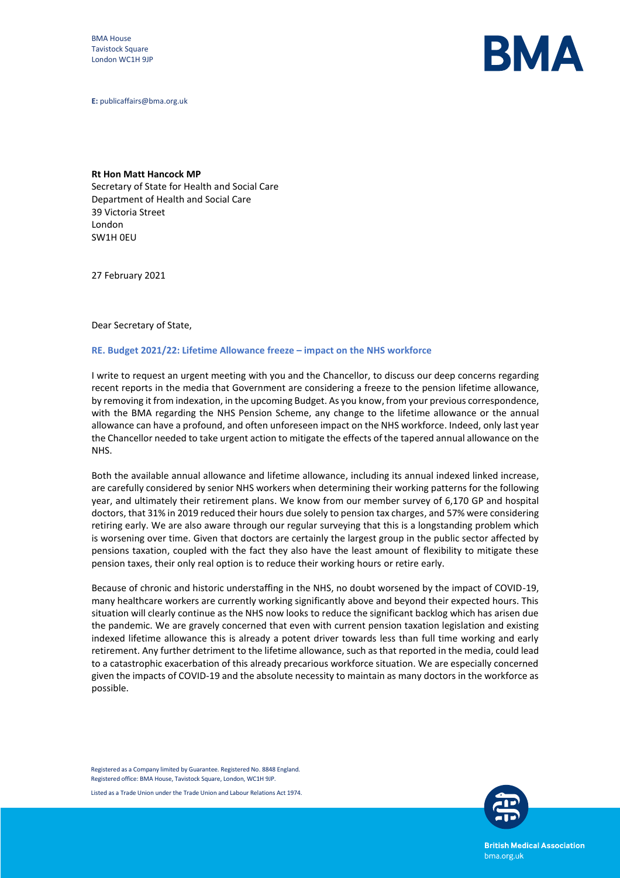BMA House Tavistock Square London WC1H 9JP



**E:** publicaffairs@bma.org.uk

**Rt Hon Matt Hancock MP** Secretary of State for Health and Social Care Department of Health and Social Care 39 Victoria Street London SW1H 0EU

27 February 2021

## Dear Secretary of State,

## **RE. Budget 2021/22: Lifetime Allowance freeze – impact on the NHS workforce**

I write to request an urgent meeting with you and the Chancellor, to discuss our deep concerns regarding recent reports in the media that Government are considering a freeze to the pension lifetime allowance, by removing it from indexation, in the upcoming Budget. As you know, from your previous correspondence, with the BMA regarding the NHS Pension Scheme, any change to the lifetime allowance or the annual allowance can have a profound, and often unforeseen impact on the NHS workforce. Indeed, only last year the Chancellor needed to take urgent action to mitigate the effects of the tapered annual allowance on the NHS.

Both the available annual allowance and lifetime allowance, including its annual indexed linked increase, are carefully considered by senior NHS workers when determining their working patterns for the following year, and ultimately their retirement plans. We know from our member survey of 6,170 GP and hospital doctors, that 31% in 2019 reduced their hours due solely to pension tax charges, and 57% were considering retiring early. We are also aware through our regular surveying that this is a longstanding problem which is worsening over time. Given that doctors are certainly the largest group in the public sector affected by pensions taxation, coupled with the fact they also have the least amount of flexibility to mitigate these pension taxes, their only real option is to reduce their working hours or retire early.

Because of chronic and historic understaffing in the NHS, no doubt worsened by the impact of COVID-19, many healthcare workers are currently working significantly above and beyond their expected hours. This situation will clearly continue as the NHS now looks to reduce the significant backlog which has arisen due the pandemic. We are gravely concerned that even with current pension taxation legislation and existing indexed lifetime allowance this is already a potent driver towards less than full time working and early retirement. Any further detriment to the lifetime allowance, such as that reported in the media, could lead to a catastrophic exacerbation of this already precarious workforce situation. We are especially concerned given the impacts of COVID-19 and the absolute necessity to maintain as many doctors in the workforce as possible.

Registered as a Company limited by Guarantee. Registered No. 8848 England. Registered office: BMA House, Tavistock Square, London, WC1H 9JP.

Listed as a Trade Union under the Trade Union and Labour Relations Act 1974.



**British Medical Association** bma.org.uk